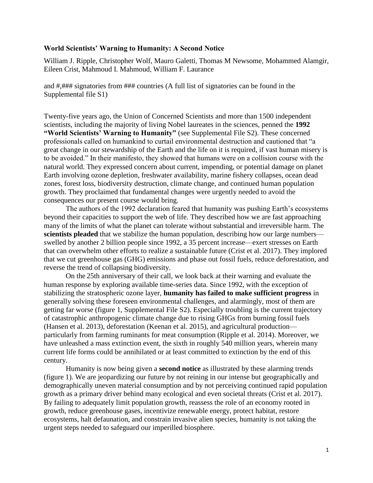### **World Scientists' Warning to Humanity: A Second Notice**

William J. Ripple, Christopher Wolf, Mauro Galetti, Thomas M Newsome, Mohammed Alamgir, Eileen Crist, Mahmoud I. Mahmoud, William F. Laurance

and #,### signatories from ### countries (A full list of signatories can be found in the Supplemental file S1)

Twenty-five years ago, the Union of Concerned Scientists and more than 1500 independent scientists, including the majority of living Nobel laureates in the sciences, penned the **1992 "World Scientists' Warning to Humanity"** (see Supplemental File S2). These concerned professionals called on humankind to curtail environmental destruction and cautioned that "a great change in our stewardship of the Earth and the life on it is required, if vast human misery is to be avoided." In their manifesto, they showed that humans were on a collision course with the natural world. They expressed concern about current, impending, or potential damage on planet Earth involving ozone depletion, freshwater availability, marine fishery collapses, ocean dead zones, forest loss, biodiversity destruction, climate change, and continued human population growth. They proclaimed that fundamental changes were urgently needed to avoid the consequences our present course would bring.

The authors of the 1992 declaration feared that humanity was pushing Earth's ecosystems beyond their capacities to support the web of life. They described how we are fast approaching many of the limits of what the planet can tolerate without substantial and irreversible harm. The **scientists pleaded** that we stabilize the human population, describing how our large numbers swelled by another 2 billion people since 1992, a 35 percent increase—exert stresses on Earth that can overwhelm other efforts to realize a sustainable future (Crist et al. 2017). They implored that we cut greenhouse gas (GHG) emissions and phase out fossil fuels, reduce deforestation, and reverse the trend of collapsing biodiversity.

On the 25th anniversary of their call, we look back at their warning and evaluate the human response by exploring available time-series data. Since 1992, with the exception of stabilizing the stratospheric ozone layer, **humanity has failed to make sufficient progress** in generally solving these foreseen environmental challenges, and alarmingly, most of them are getting far worse (figure 1, Supplemental File S2). Especially troubling is the current trajectory of catastrophic anthropogenic climate change due to rising GHGs from burning fossil fuels (Hansen et al. 2013), deforestation (Keenan et al. 2015), and agricultural production particularly from farming ruminants for meat consumption (Ripple et al. 2014). Moreover, we have unleashed a mass extinction event, the sixth in roughly 540 million years, wherein many current life forms could be annihilated or at least committed to extinction by the end of this century.

Humanity is now being given a **second notice** as illustrated by these alarming trends (figure 1). We are jeopardizing our future by not reining in our intense but geographically and demographically uneven material consumption and by not perceiving continued rapid population growth as a primary driver behind many ecological and even societal threats (Crist et al. 2017). By failing to adequately limit population growth, reassess the role of an economy rooted in growth, reduce greenhouse gases, incentivize renewable energy, protect habitat, restore ecosystems, halt defaunation, and constrain invasive alien species, humanity is not taking the urgent steps needed to safeguard our imperilled biosphere.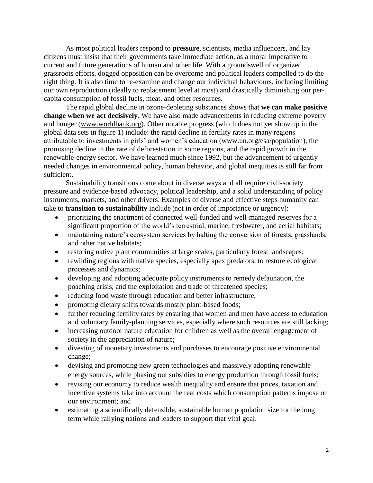As most political leaders respond to **pressure**, scientists, media influencers, and lay citizens must insist that their governments take immediate action, as a moral imperative to current and future generations of human and other life. With a groundswell of organized grassroots efforts, dogged opposition can be overcome and political leaders compelled to do the right thing. It is also time to re-examine and change our individual behaviours, including limiting our own reproduction (ideally to replacement level at most) and drastically diminishing our percapita consumption of fossil fuels, meat, and other resources.

The rapid global decline in ozone-depleting substances shows that **we can make positive change when we act decisively**. We have also made advancements in reducing extreme poverty and hunger (www.worldbank.org). Other notable progress (which does not yet show up in the global data sets in figure 1) include: the rapid decline in fertility rates in many regions attributable to investments in girls' and women's education (www.un.org/esa/population), the promising decline in the rate of deforestation in some regions, and the rapid growth in the renewable-energy sector. We have learned much since 1992, but the advancement of urgently needed changes in environmental policy, human behavior, and global inequities is still far from sufficient.

Sustainability transitions come about in diverse ways and all require civil-society pressure and evidence-based advocacy, political leadership, and a solid understanding of policy instruments, markets, and other drivers. Examples of diverse and effective steps humanity can take to **transition to sustainability** include (not in order of importance or urgency):

- prioritizing the enactment of connected well-funded and well-managed reserves for a significant proportion of the world's terrestrial, marine, freshwater, and aerial habitats;
- maintaining nature's ecosystem services by halting the conversion of forests, grasslands, and other native habitats;
- restoring native plant communities at large scales, particularly forest landscapes;
- rewilding regions with native species, especially apex predators, to restore ecological processes and dynamics;
- developing and adopting adequate policy instruments to remedy defaunation, the poaching crisis, and the exploitation and trade of threatened species;
- reducing food waste through education and better infrastructure;
- promoting dietary shifts towards mostly plant-based foods;
- further reducing fertility rates by ensuring that women and men have access to education and voluntary family-planning services, especially where such resources are still lacking;
- increasing outdoor nature education for children as well as the overall engagement of society in the appreciation of nature;
- divesting of monetary investments and purchases to encourage positive environmental change;
- devising and promoting new green technologies and massively adopting renewable energy sources, while phasing out subsidies to energy production through fossil fuels;
- revising our economy to reduce wealth inequality and ensure that prices, taxation and incentive systems take into account the real costs which consumption patterns impose on our environment; and
- estimating a scientifically defensible, sustainable human population size for the long term while rallying nations and leaders to support that vital goal.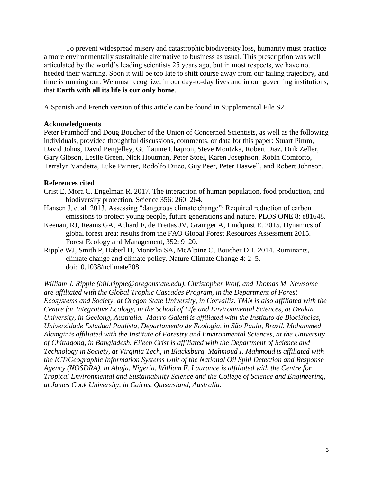To prevent widespread misery and catastrophic biodiversity loss, humanity must practice a more environmentally sustainable alternative to business as usual. This prescription was well articulated by the world's leading scientists 25 years ago, but in most respects, we have not heeded their warning. Soon it will be too late to shift course away from our failing trajectory, and time is running out. We must recognize, in our day-to-day lives and in our governing institutions, that **Earth with all its life is our only home**.

A Spanish and French version of this article can be found in Supplemental File S2.

### **Acknowledgments**

Peter Frumhoff and Doug Boucher of the Union of Concerned Scientists, as well as the following individuals, provided thoughtful discussions, comments, or data for this paper: Stuart Pimm, David Johns, David Pengelley, Guillaume Chapron, Steve Montzka, Robert Diaz, Drik Zeller, Gary Gibson, Leslie Green, Nick Houtman, Peter Stoel, Karen Josephson, Robin Comforto, Terralyn Vandetta, Luke Painter, Rodolfo Dirzo, Guy Peer, Peter Haswell, and Robert Johnson.

### **References cited**

- Crist E, Mora C, Engelman R. 2017. The interaction of human population, food production, and biodiversity protection. Science 356: 260–264.
- Hansen J, et al. 2013. Assessing "dangerous climate change": Required reduction of carbon emissions to protect young people, future generations and nature. PLOS ONE 8: e81648.
- Keenan, RJ, Reams GA, Achard F, de Freitas JV, Grainger A, Lindquist E. 2015. Dynamics of global forest area: results from the FAO Global Forest Resources Assessment 2015. Forest Ecology and Management, 352: 9–20.
- Ripple WJ, Smith P, Haberl H, Montzka SA, McAlpine C, Boucher DH. 2014. Ruminants, climate change and climate policy. Nature Climate Change 4: 2–5. doi:10.1038/nclimate2081

*William J. Ripple (bill.ripple@oregonstate.edu), Christopher Wolf, and Thomas M. Newsome are affiliated with the Global Trophic Cascades Program, in the Department of Forest Ecosystems and Society, at Oregon State University, in Corvallis. TMN is also affiliated with the Centre for Integrative Ecology, in the School of Life and Environmental Sciences, at Deakin University, in Geelong, Australia. Mauro Galetti is affiliated with the Instituto de Biociências, Universidade Estadual Paulista, Departamento de Ecologia, in São Paulo, Brazil. Mohammed Alamgiris affiliated with the Institute of Forestry and Environmental Sciences, at the University of Chittagong, in Bangladesh. Eileen Crist is affiliated with the Department of Science and Technology in Society, at Virginia Tech, in Blacksburg. Mahmoud I. Mahmoud is affiliated with the ICT/Geographic Information Systems Unit of the National Oil Spill Detection and Response Agency (NOSDRA), in Abuja, Nigeria. William F. Laurance is affiliated with the Centre for Tropical Environmental and Sustainability Science and the College of Science and Engineering, at James Cook University, in Cairns, Queensland, Australia.*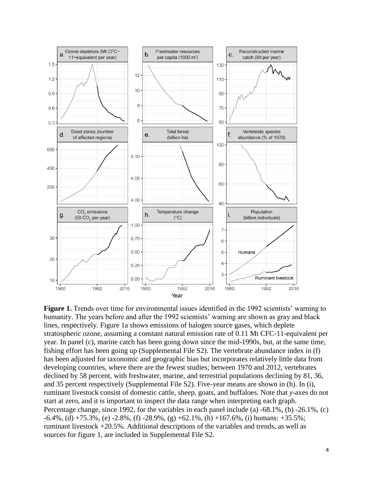

Figure 1. Trends over time for environmental issues identified in the 1992 scientists' warning to humanity. The years before and after the 1992 scientists' warning are shown as gray and black lines, respectively. Figure 1a shows emissions of halogen source gases, which deplete stratospheric ozone, assuming a constant natural emission rate of 0.11 Mt CFC-11-equivalent per year. In panel (c), marine catch has been going down since the mid-1990s, but, at the same time, fishing effort has been going up (Supplemental File S2). The vertebrate abundance index in (f) has been adjusted for taxonomic and geographic bias but incorporates relatively little data from developing countries, where there are the fewest studies; between 1970 and 2012, vertebrates declined by 58 percent, with freshwater, marine, and terrestrial populations declining by 81, 36, and 35 percent respectively (Supplemental File S2). Five-year means are shown in (h). In (i), ruminant livestock consist of domestic cattle, sheep, goats, and buffaloes. Note that *y*-axes do not start at zero, and it is important to inspect the data range when interpreting each graph. Percentage change, since 1992, for the variables in each panel include (a) -68.1%, (b) -26.1%, (c)  $-6.4\%$ , (d)  $+75.3\%$ , (e)  $-2.8\%$ , (f)  $-28.9\%$ , (g)  $+62.1\%$ , (h)  $+167.6\%$ , (i) humans:  $+35.5\%$ ; ruminant livestock +20.5%. Additional descriptions of the variables and trends, as well as sources for figure 1, are included in Supplemental File S2.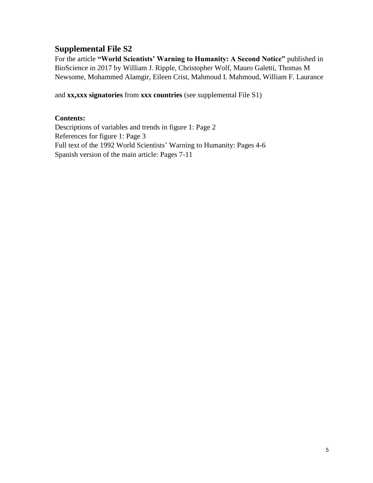# **Supplemental File S2**

For the article "World Scientists' Warning to Humanity: A Second Notice" published in BioScience in 2017 by William J. Ripple, Christopher Wolf, Mauro Galetti, Thomas M Newsome, Mohammed Alamgir, Eileen Crist, Mahmoud I. Mahmoud, William F. Laurance

and **xx,xxx signatories** from **xxx countries** (see supplemental File S1)

# **Contents:**

Descriptions of variables and trends in figure 1: Page 2 References for figure 1: Page 3 Full text of the 1992 World Scientists' Warning to Humanity: Pages 4-6 Spanish version of the main article: Pages 7-11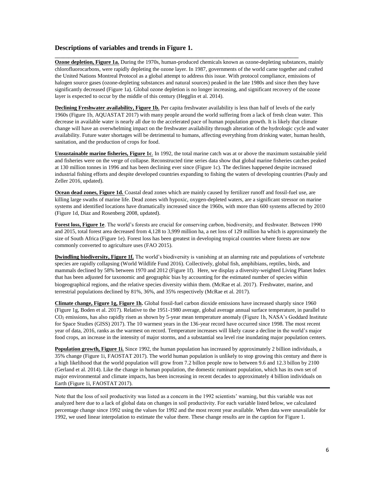#### **Descriptions of variables and trends in Figure 1.**

**Ozone depletion, Figure 1a.** During the 1970s, human-produced chemicals known as ozone-depleting substances, mainly chlorofluorocarbons, were rapidly depleting the ozone layer. In 1987, governments of the world came together and crafted the United Nations Montreal Protocol as a global attempt to address this issue. With protocol compliance, emissions of halogen source gases (ozone-depleting substances and natural sources) peaked in the late 1980s and since then they have significantly decreased (Figure 1a). Global ozone depletion is no longer increasing, and significant recovery of the ozone layer is expected to occur by the middle of this century (Hegglin et al. 2014).

**\_\_\_\_\_\_\_\_\_\_\_\_\_\_\_\_\_\_\_\_\_\_\_\_\_\_\_\_\_\_\_\_\_\_\_\_\_\_\_\_\_\_\_\_\_\_\_\_\_\_\_\_\_\_\_\_\_\_\_\_\_\_\_\_\_\_\_\_\_\_\_\_\_\_\_\_\_\_\_\_\_\_\_\_\_\_\_\_\_**

**Declining Freshwater availability, Figure 1b.** Per capita freshwater availability is less than half of levels of the early 1960s (Figure 1b, AQUASTAT 2017) with many people around the world suffering from a lack of fresh clean water. This decrease in available water is nearly all due to the accelerated pace of human population growth. It is likely that climate change will have an overwhelming impact on the freshwater availability through alteration of the hydrologic cycle and water availability. Future water shortages will be detrimental to humans, affecting everything from drinking water, human health, sanitation, and the production of crops for food.

**Unsustainable marine fisheries, Figure 1c**. In 1992, the total marine catch was at or above the maximum sustainable yield and fisheries were on the verge of collapse. Reconstructed time series data show that global marine fisheries catches peaked at 130 million tonnes in 1996 and has been declining ever since (Figure 1c). The declines happened despite increased industrial fishing efforts and despite developed countries expanding to fishing the waters of developing countries (Pauly and Zeller 2016, updated).

**Ocean dead zones, Figure 1d.** Coastal dead zones which are mainly caused by fertilizer runoff and fossil-fuel use, are killing large swaths of marine life. Dead zones with hypoxic, oxygen-depleted waters, are a significant stressor on marine systems and identified locations have dramatically increased since the 1960s, with more than 600 systems affected by 2010 (Figure 1d, Diaz and Rosenberg 2008, updated).

**Forest loss, Figure 1e**. The world's forests are crucial for conserving carbon, biodiversity, and freshwater. Between 1990 and 2015, total forest area decreased from 4,128 to 3,999 million ha, a net loss of 129 million ha which is approximately the size of South Africa (Figure 1e). Forest loss has been greatest in developing tropical countries where forests are now commonly converted to agriculture uses (FAO 2015).

**Dwindling biodiversity, Figure 1f.** The world's biodiversity is vanishing at an alarming rate and populations of vertebrate species are rapidly collapsing (World Wildlife Fund 2016). Collectively, global fish, amphibians, reptiles, birds, and mammals declined by 58% between 1970 and 2012 (Figure 1f). Here, we display a diversity-weighted Living Planet Index that has been adjusted for taxonomic and geographic bias by accounting for the estimated number of species within biogeographical regions, and the relative species diversity within them. (McRae et al. 2017). Freshwater, marine, and terrestrial populations declined by 81%, 36%, and 35% respectively (McRae et al. 2017).

**Climate change, Figure 1g, Figure 1h.** Global fossil-fuel carbon dioxide emissions have increased sharply since 1960 (Figure 1g, Boden et al. 2017). Relative to the 1951-1980 average, global average annual surface temperature, in parallel to CO<sup>2</sup> emissions, has also rapidly risen as shown by 5-year mean temperature anomaly (Figure 1h, NASA's Goddard Institute for Space Studies (GISS) 2017). The 10 warmest years in the 136-year record have occurred since 1998. The most recent year of data, 2016, ranks as the warmest on record. Temperature increases will likely cause a decline in the world's major food crops, an increase in the intensity of major storms, and a substantial sea level rise inundating major population centers.

**Population growth, Figure 1i.** Since 1992, the human population has increased by approximately 2 billion individuals, a 35% change (Figure 1i, FAOSTAT 2017). The world human population is unlikely to stop growing this century and there is a high likelihood that the world population will grow from 7.2 billon people now to between 9.6 and 12.3 billon by 2100 (Gerland et al. 2014). Like the change in human population, the domestic ruminant population, which has its own set of major environmental and climate impacts, has been increasing in recent decades to approximately 4 billion individuals on Earth (Figure 1i, FAOSTAT 2017).

Note that the loss of soil productivity was listed as a concern in the 1992 scientists' warning, but this variable was not analyzed here due to a lack of global data on changes in soil productivity. For each variable listed below, we calculated percentage change since 1992 using the values for 1992 and the most recent year available. When data were unavailable for 1992, we used linear interpolation to estimate the value there. These change results are in the caption for Figure 1.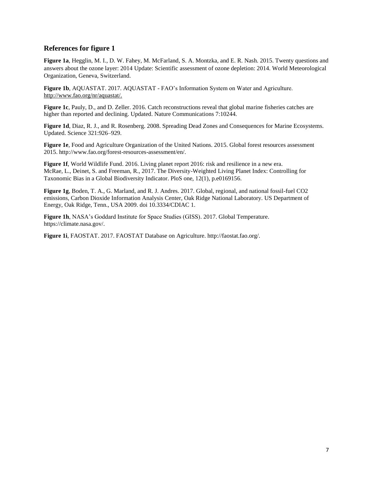### **References for figure 1**

**Figure 1a**, Hegglin, M. I., D. W. Fahey, M. McFarland, S. A. Montzka, and E. R. Nash. 2015. Twenty questions and answers about the ozone layer: 2014 Update: Scientific assessment of ozone depletion: 2014. World Meteorological Organization, Geneva, Switzerland.

**Figure 1b**, AQUASTAT. 2017. AQUASTAT - [FAO's Information System on Water and Agriculture.](file://///acer/home/O-R/ripplew/Scientists%20warning%20to%20humanity/BioScience%20version%201/AQUASTAT.%202017.%20AQUASTAT%20-%20FAO)  [http://www.fao.org/nr/aquastat/.](file://///acer/home/O-R/ripplew/Scientists%20warning%20to%20humanity/BioScience%20version%201/AQUASTAT.%202017.%20AQUASTAT%20-%20FAO)

**Figure 1c**, Pauly, D., and D. Zeller. 2016. Catch reconstructions reveal that global marine fisheries catches are higher than reported and declining. Updated. Nature Communications 7:10244.

**Figure 1d**, Diaz, R. J., and R. Rosenberg. 2008. Spreading Dead Zones and Consequences for Marine Ecosystems. Updated. Science 321:926–929.

**Figure 1e**, Food and Agriculture Organization of the United Nations. 2015. Global forest resources assessment 2015. http://www.fao.org/forest-resources-assessment/en/.

**Figure 1f**, World Wildlife Fund. 2016. Living planet report 2016: risk and resilience in a new era. McRae, L., Deinet, S. and Freeman, R., 2017. The Diversity-Weighted Living Planet Index: Controlling for Taxonomic Bias in a Global Biodiversity Indicator. PloS one, 12(1), p.e0169156.

**Figure 1g**, Boden, T. A., G. Marland, and R. J. Andres. 2017. Global, regional, and national fossil-fuel CO2 emissions, Carbon Dioxide Information Analysis Center, Oak Ridge National Laboratory. US Department of Energy, Oak Ridge, Tenn., USA 2009. doi 10.3334/CDIAC 1.

**Figure 1h**, NASA's Goddard Institute for Space Studies (GISS). 2017. Global Temperature. https://climate.nasa.gov/.

**Figure 1i**, FAOSTAT. 2017. FAOSTAT Database on Agriculture. http://faostat.fao.org/.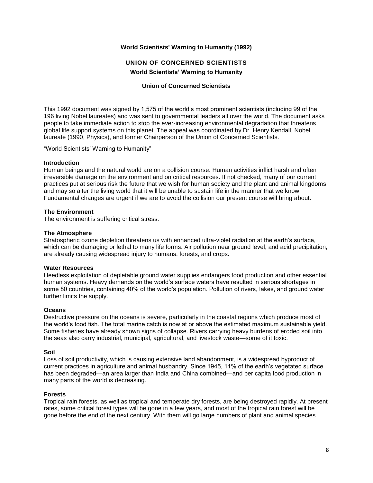### **World Scientists' Warning to Humanity (1992)**

## **UNION OF CONCERNED SCIENTISTS World Scientists' Warning to Humanity**

#### **Union of Concerned Scientists**

This 1992 document was signed by 1,575 of the world's most prominent scientists (including 99 of the 196 living Nobel laureates) and was sent to governmental leaders all over the world. The document asks people to take immediate action to stop the ever-increasing environmental degradation that threatens global life support systems on this planet. The appeal was coordinated by Dr. Henry Kendall, Nobel laureate (1990, Physics), and former Chairperson of the Union of Concerned Scientists.

"World Scientists' Warning to Humanity"

#### **Introduction**

Human beings and the natural world are on a collision course. Human activities inflict harsh and often irreversible damage on the environment and on critical resources. If not checked, many of our current practices put at serious risk the future that we wish for human society and the plant and animal kingdoms, and may so alter the living world that it will be unable to sustain life in the manner that we know. Fundamental changes are urgent if we are to avoid the collision our present course will bring about.

#### **The Environment**

The environment is suffering critical stress:

#### **The Atmosphere**

Stratospheric ozone depletion threatens us with enhanced ultra-violet radiation at the earth's surface, which can be damaging or lethal to many life forms. Air pollution near ground level, and acid precipitation, are already causing widespread injury to humans, forests, and crops.

#### **Water Resources**

Heedless exploitation of depletable ground water supplies endangers food production and other essential human systems. Heavy demands on the world's surface waters have resulted in serious shortages in some 80 countries, containing 40% of the world's population. Pollution of rivers, lakes, and ground water further limits the supply.

#### **Oceans**

Destructive pressure on the oceans is severe, particularly in the coastal regions which produce most of the world's food fish. The total marine catch is now at or above the estimated maximum sustainable yield. Some fisheries have already shown signs of collapse. Rivers carrying heavy burdens of eroded soil into the seas also carry industrial, municipal, agricultural, and livestock waste—some of it toxic.

#### **Soil**

Loss of soil productivity, which is causing extensive land abandonment, is a widespread byproduct of current practices in agriculture and animal husbandry. Since 1945, 11% of the earth's vegetated surface has been degraded—an area larger than India and China combined—and per capita food production in many parts of the world is decreasing.

#### **Forests**

Tropical rain forests, as well as tropical and temperate dry forests, are being destroyed rapidly. At present rates, some critical forest types will be gone in a few years, and most of the tropical rain forest will be gone before the end of the next century. With them will go large numbers of plant and animal species.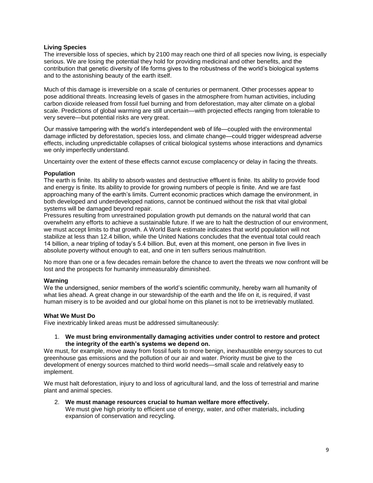### **Living Species**

The irreversible loss of species, which by 2100 may reach one third of all species now living, is especially serious. We are losing the potential they hold for providing medicinal and other benefits, and the contribution that genetic diversity of life forms gives to the robustness of the world's biological systems and to the astonishing beauty of the earth itself.

Much of this damage is irreversible on a scale of centuries or permanent. Other processes appear to pose additional threats. Increasing levels of gases in the atmosphere from human activities, including carbon dioxide released from fossil fuel burning and from deforestation, may alter climate on a global scale. Predictions of global warming are still uncertain—with projected effects ranging from tolerable to very severe—but potential risks are very great.

Our massive tampering with the world's interdependent web of life—coupled with the environmental damage inflicted by deforestation, species loss, and climate change—could trigger widespread adverse effects, including unpredictable collapses of critical biological systems whose interactions and dynamics we only imperfectly understand.

Uncertainty over the extent of these effects cannot excuse complacency or delay in facing the threats.

#### **Population**

The earth is finite. Its ability to absorb wastes and destructive effluent is finite. Its ability to provide food and energy is finite. Its ability to provide for growing numbers of people is finite. And we are fast approaching many of the earth's limits. Current economic practices which damage the environment, in both developed and underdeveloped nations, cannot be continued without the risk that vital global systems will be damaged beyond repair.

Pressures resulting from unrestrained population growth put demands on the natural world that can overwhelm any efforts to achieve a sustainable future. If we are to halt the destruction of our environment, we must accept limits to that growth. A World Bank estimate indicates that world population will not stabilize at less than 12.4 billion, while the United Nations concludes that the eventual total could reach 14 billion, a near tripling of today's 5.4 billion. But, even at this moment, one person in five lives in absolute poverty without enough to eat, and one in ten suffers serious malnutrition.

No more than one or a few decades remain before the chance to avert the threats we now confront will be lost and the prospects for humanity immeasurably diminished.

### **Warning**

We the undersigned, senior members of the world's scientific community, hereby warn all humanity of what lies ahead. A great change in our stewardship of the earth and the life on it, is required, if vast human misery is to be avoided and our global home on this planet is not to be irretrievably mutilated.

### **What We Must Do**

Five inextricably linked areas must be addressed simultaneously:

#### 1. **We must bring environmentally damaging activities under control to restore and protect the integrity of the earth's systems we depend on.**

We must, for example, move away from fossil fuels to more benign, inexhaustible energy sources to cut greenhouse gas emissions and the pollution of our air and water. Priority must be give to the development of energy sources matched to third world needs—small scale and relatively easy to implement.

We must halt deforestation, injury to and loss of agricultural land, and the loss of terrestrial and marine plant and animal species.

2. **We must manage resources crucial to human welfare more effectively.** We must give high priority to efficient use of energy, water, and other materials, including expansion of conservation and recycling.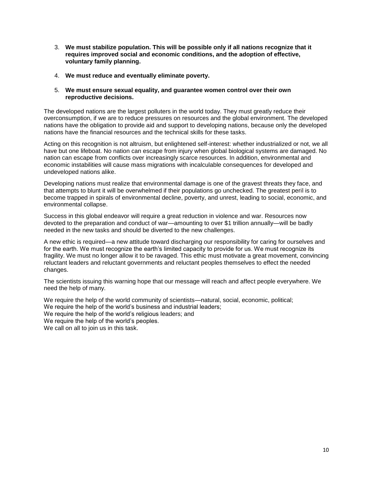- 3. **We must stabilize population. This will be possible only if all nations recognize that it requires improved social and economic conditions, and the adoption of effective, voluntary family planning.**
- 4. **We must reduce and eventually eliminate poverty.**

#### 5. **We must ensure sexual equality, and guarantee women control over their own reproductive decisions.**

The developed nations are the largest polluters in the world today. They must greatly reduce their overconsumption, if we are to reduce pressures on resources and the global environment. The developed nations have the obligation to provide aid and support to developing nations, because only the developed nations have the financial resources and the technical skills for these tasks.

Acting on this recognition is not altruism, but enlightened self-interest: whether industrialized or not, we all have but one lifeboat. No nation can escape from injury when global biological systems are damaged. No nation can escape from conflicts over increasingly scarce resources. In addition, environmental and economic instabilities will cause mass migrations with incalculable consequences for developed and undeveloped nations alike.

Developing nations must realize that environmental damage is one of the gravest threats they face, and that attempts to blunt it will be overwhelmed if their populations go unchecked. The greatest peril is to become trapped in spirals of environmental decline, poverty, and unrest, leading to social, economic, and environmental collapse.

Success in this global endeavor will require a great reduction in violence and war. Resources now devoted to the preparation and conduct of war—amounting to over \$1 trillion annually—will be badly needed in the new tasks and should be diverted to the new challenges.

A new ethic is required—a new attitude toward discharging our responsibility for caring for ourselves and for the earth. We must recognize the earth's limited capacity to provide for us. We must recognize its fragility. We must no longer allow it to be ravaged. This ethic must motivate a great movement, convincing reluctant leaders and reluctant governments and reluctant peoples themselves to effect the needed changes.

The scientists issuing this warning hope that our message will reach and affect people everywhere. We need the help of many.

We require the help of the world community of scientists—natural, social, economic, political; We require the help of the world's business and industrial leaders; We require the help of the world's religious leaders; and We require the help of the world's peoples. We call on all to join us in this task.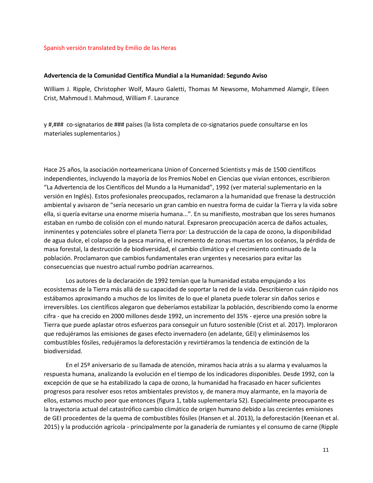#### Spanish versión translated by Emilio de las Heras

#### **Advertencia de la Comunidad Científica Mundial a la Humanidad: Segundo Aviso**

William J. Ripple, Christopher Wolf, Mauro Galetti, Thomas M Newsome, Mohammed Alamgir, Eileen Crist, Mahmoud I. Mahmoud, William F. Laurance

y #,### co-signatarios de ### países (la lista completa de co-signatarios puede consultarse en los materiales suplementarios.)

Hace 25 años, la asociación norteamericana Union of Concerned Scientists y más de 1500 científicos independientes, incluyendo la mayoría de los Premios Nobel en Ciencias que vivían entonces, escribieron "La Advertencia de los Científicos del Mundo a la Humanidad", 1992 (ver material suplementario en la versión en Inglés). Estos profesionales preocupados, reclamaron a la humanidad que frenase la destrucción ambiental y avisaron de "sería necesario un gran cambio en nuestra forma de cuidar la Tierra y la vida sobre ella, si quería evitarse una enorme miseria humana...". En su manifiesto, mostraban que los seres humanos estaban en rumbo de colisión con el mundo natural. Expresaron preocupación acerca de daños actuales, inminentes y potenciales sobre el planeta Tierra por: La destrucción de la capa de ozono, la disponibilidad de agua dulce, el colapso de la pesca marina, el incremento de zonas muertas en los océanos, la pérdida de masa forestal, la destrucción de biodiversidad, el cambio climático y el crecimiento continuado de la población. Proclamaron que cambios fundamentales eran urgentes y necesarios para evitar las consecuencias que nuestro actual rumbo podrían acarrearnos.

Los autores de la declaración de 1992 temían que la humanidad estaba empujando a los ecosistemas de la Tierra más allá de su capacidad de soportar la red de la vida. Describieron cuán rápido nos estábamos aproximando a muchos de los límites de lo que el planeta puede tolerar sin daños serios e irreversibles. Los científicos alegaron que deberíamos estabilizar la población, describiendo como la enorme cifra - que ha crecido en 2000 millones desde 1992, un incremento del 35% - ejerce una presión sobre la Tierra que puede aplastar otros esfuerzos para conseguir un futuro sostenible (Crist et al. 2017). Imploraron que redujéramos las emisiones de gases efecto invernadero (en adelante, GEI) y eliminásemos los combustibles fósiles, redujéramos la deforestación y revirtiéramos la tendencia de extinción de la biodiversidad.

En el 25º aniversario de su llamada de atención, miramos hacia atrás a su alarma y evaluamos la respuesta humana, analizando la evolución en el tiempo de los indicadores disponibles. Desde 1992, con la excepción de que se ha estabilizado la capa de ozono, la humanidad ha fracasado en hacer suficientes progresos para resolver esos retos ambientales previstos y, de manera muy alarmante, en la mayoría de ellos, estamos mucho peor que entonces (figura 1, tabla suplementaria S2). Especialmente preocupante es la trayectoria actual del catastrófico cambio climático de origen humano debido a las crecientes emisiones de GEI procedentes de la quema de combustibles fósiles (Hansen et al. 2013), la deforestación (Keenan et al. 2015) y la producción agrícola - principalmente por la ganadería de rumiantes y el consumo de carne (Ripple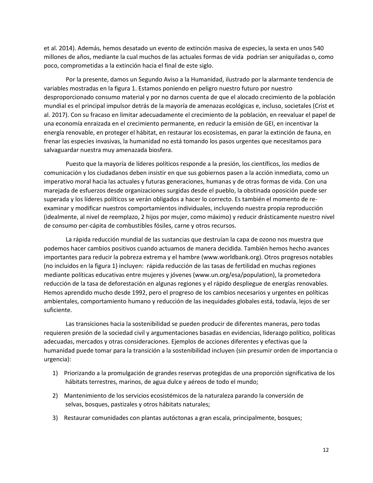et al. 2014). Además, hemos desatado un evento de extinción masiva de especies, la sexta en unos 540 millones de años, mediante la cual muchos de las actuales formas de vida podrían ser aniquiladas o, como poco, comprometidas a la extinción hacia el final de este siglo.

Por la presente, damos un Segundo Aviso a la Humanidad, ilustrado por la alarmante tendencia de variables mostradas en la figura 1. Estamos poniendo en peligro nuestro futuro por nuestro desproporcionado consumo material y por no darnos cuenta de que el alocado crecimiento de la población mundial es el principal impulsor detrás de la mayoría de amenazas ecológicas e, incluso, societales (Crist et al. 2017). Con su fracaso en limitar adecuadamente el crecimiento de la población, en reevaluar el papel de una economía enraizada en el crecimiento permanente, en reducir la emisión de GEI, en incentivar la energía renovable, en proteger el hábitat, en restaurar los ecosistemas, en parar la extinción de fauna, en frenar las especies invasivas, la humanidad no está tomando los pasos urgentes que necesitamos para salvaguardar nuestra muy amenazada biosfera.

Puesto que la mayoría de líderes políticos responde a la presión, los científicos, los medios de comunicación y los ciudadanos deben insistir en que sus gobiernos pasen a la acción inmediata, como un imperativo moral hacia las actuales y futuras generaciones, humanas y de otras formas de vida. Con una marejada de esfuerzos desde organizaciones surgidas desde el pueblo, la obstinada oposición puede ser superada y los líderes políticos se verán obligados a hacer lo correcto. Es también el momento de reexaminar y modificar nuestros comportamientos individuales, incluyendo nuestra propia reproducción (idealmente, al nivel de reemplazo, 2 hijos por mujer, como máximo) y reducir drásticamente nuestro nivel de consumo per-cápita de combustibles fósiles, carne y otros recursos.

La rápida reducción mundial de las sustancias que destruían la capa de ozono nos muestra que podemos hacer cambios positivos cuando actuamos de manera decidida. También hemos hecho avances importantes para reducir la pobreza extrema y el hambre (www.worldbank.org). Otros progresos notables (no incluidos en la figura 1) incluyen: rápida reducción de las tasas de fertilidad en muchas regiones mediante políticas educativas entre mujeres y jóvenes (www.un.org/esa/population), la prometedora reducción de la tasa de deforestación en algunas regiones y el rápido despliegue de energías renovables. Hemos aprendido mucho desde 1992, pero el progreso de los cambios necesarios y urgentes en políticas ambientales, comportamiento humano y reducción de las inequidades globales está, todavía, lejos de ser suficiente.

Las transiciones hacia la sostenibilidad se pueden producir de diferentes maneras, pero todas requieren presión de la sociedad civil y argumentaciones basadas en evidencias, liderazgo político, políticas adecuadas, mercados y otras consideraciones. Ejemplos de acciones diferentes y efectivas que la humanidad puede tomar para la transición a la sostenibilidad incluyen (sin presumir orden de importancia o urgencia):

- 1) Priorizando a la promulgación de grandes reservas protegidas de una proporción significativa de los hábitats terrestres, marinos, de agua dulce y aéreos de todo el mundo;
- 2) Mantenimiento de los servicios ecosistémicos de la naturaleza parando la conversión de selvas, bosques, pastizales y otros hábitats naturales;
- 3) Restaurar comunidades con plantas autóctonas a gran escala, principalmente, bosques;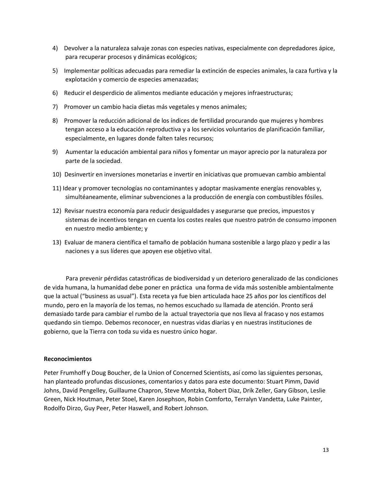- 4) Devolver a la naturaleza salvaje zonas con especies nativas, especialmente con depredadores ápice, para recuperar procesos y dinámicas ecológicos;
- 5) Implementar políticas adecuadas para remediar la extinción de especies animales, la caza furtiva y la explotación y comercio de especies amenazadas;
- 6) Reducir el desperdicio de alimentos mediante educación y mejores infraestructuras;
- 7) Promover un cambio hacia dietas más vegetales y menos animales;
- 8) Promover la reducción adicional de los índices de fertilidad procurando que mujeres y hombres tengan acceso a la educación reproductiva y a los servicios voluntarios de planificación familiar, especialmente, en lugares donde falten tales recursos;
- 9) Aumentar la educación ambiental para niños y fomentar un mayor aprecio por la naturaleza por parte de la sociedad.
- 10) Desinvertir en inversiones monetarias e invertir en iniciativas que promuevan cambio ambiental
- 11) Idear y promover tecnologías no contaminantes y adoptar masivamente energías renovables y, simultéaneamente, eliminar subvenciones a la producción de energía con combustibles fósiles.
- 12) Revisar nuestra economía para reducir desigualdades y asegurarse que precios, impuestos y sistemas de incentivos tengan en cuenta los costes reales que nuestro patrón de consumo imponen en nuestro medio ambiente; y
- 13) Evaluar de manera científica el tamaño de población humana sostenible a largo plazo y pedir a las naciones y a sus líderes que apoyen ese objetivo vital.

Para prevenir pérdidas catastróficas de biodiversidad y un deterioro generalizado de las condiciones de vida humana, la humanidad debe poner en práctica una forma de vida más sostenible ambientalmente que la actual ("business as usual"). Esta receta ya fue bien articulada hace 25 años por los científicos del mundo, pero en la mayoría de los temas, no hemos escuchado su llamada de atención. Pronto será demasiado tarde para cambiar el rumbo de la actual trayectoria que nos lleva al fracaso y nos estamos quedando sin tiempo. Debemos reconocer, en nuestras vidas diarias y en nuestras instituciones de gobierno, que la Tierra con toda su vida es nuestro único hogar.

### **Reconocimientos**

Peter Frumhoff y Doug Boucher, de la Union of Concerned Scientists, así como las siguientes personas, han planteado profundas discusiones, comentarios y datos para este documento: Stuart Pimm, David Johns, David Pengelley, Guillaume Chapron, Steve Montzka, Robert Diaz, Drik Zeller, Gary Gibson, Leslie Green, Nick Houtman, Peter Stoel, Karen Josephson, Robin Comforto, Terralyn Vandetta, Luke Painter, Rodolfo Dirzo, Guy Peer, Peter Haswell, and Robert Johnson.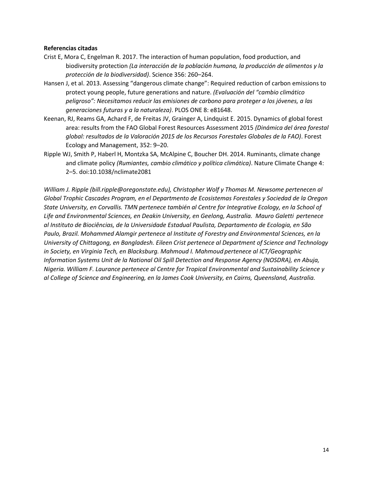### **Referencias citadas**

- Crist E, Mora C, Engelman R. 2017. The interaction of human population, food production, and biodiversity protection *(La interacción de la población humana, la producción de alimentos y la protección de la biodiversidad)*. Science 356: 260–264.
- Hansen J, et al. 2013. Assessing "dangerous climate change": Required reduction of carbon emissions to protect young people, future generations and nature. *(Evaluación del "cambio climático peligroso": Necesitamos reducir las emisiones de carbono para proteger a los jóvenes, a las generaciones futuras y a la naturaleza)*. PLOS ONE 8: e81648.
- Keenan, RJ, Reams GA, Achard F, de Freitas JV, Grainger A, Lindquist E. 2015. Dynamics of global forest area: results from the FAO Global Forest Resources Assessment 2015 *(Dinámica del área forestal global: resultados de la Valoración 2015 de los Recursos Forestales Globales de la FAO)*. Forest Ecology and Management, 352: 9–20.
- Ripple WJ, Smith P, Haberl H, Montzka SA, McAlpine C, Boucher DH. 2014. Ruminants, climate change and climate policy *(Rumiantes, cambio climático y política climática)*. Nature Climate Change 4: 2–5. doi:10.1038/nclimate2081

*William J. Ripple (bill.ripple@oregonstate.edu), Christopher Wolf y Thomas M. Newsome pertenecen al Global Trophic Cascades Program, en el Departmento de Ecosistemas Forestales y Sociedad de la Oregon State University, en Corvallis. TMN pertenece también al Centre for Integrative Ecology, en la School of Life and Environmental Sciences, en Deakin University, en Geelong, Australia. Mauro Galetti pertenece al Instituto de Biociências, de la Universidade Estadual Paulista, Departamento de Ecologia, en São Paulo, Brazil. Mohammed Alamgir pertenece al Institute of Forestry and Environmental Sciences, en la University of Chittagong, en Bangladesh. Eileen Crist pertenece al Department of Science and Technology in Society, en Virginia Tech, en Blacksburg. Mahmoud I. Mahmoud pertenece al ICT/Geographic Information Systems Unit de la National Oil Spill Detection and Response Agency (NOSDRA), en Abuja, Nigeria. William F. Laurance pertenece al Centre for Tropical Environmental and Sustainability Science y al College of Science and Engineering, en la James Cook University, en Cairns, Queensland, Australia.*